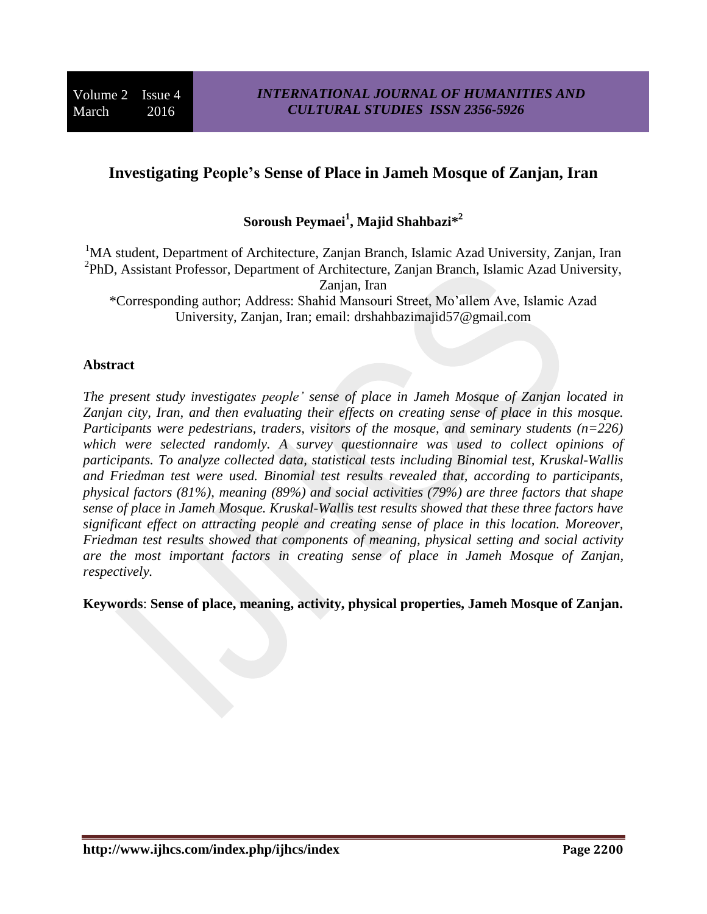# **Investigating People's Sense of Place in Jameh Mosque of Zanjan, Iran**

# **Soroush Peymaei 1 , Majid Shahbazi\* 2**

<sup>1</sup>MA student, Department of Architecture, Zanjan Branch, Islamic Azad University, Zanjan, Iran <sup>2</sup>PhD, Assistant Professor, Department of Architecture, Zanjan Branch, Islamic Azad University, Zanjan, Iran \*Corresponding author; Address: Shahid Mansouri Street, Mo'allem Ave, Islamic Azad University, Zanjan, Iran; email: drshahbazimajid57@gmail.com

#### **Abstract**

*The present study investigates people' sense of place in Jameh Mosque of Zanjan located in Zanjan city, Iran, and then evaluating their effects on creating sense of place in this mosque. Participants were pedestrians, traders, visitors of the mosque, and seminary students (n=226) which were selected randomly. A survey questionnaire was used to collect opinions of participants. To analyze collected data, statistical tests including Binomial test, Kruskal-Wallis and Friedman test were used. Binomial test results revealed that, according to participants, physical factors (81%), meaning (89%) and social activities (79%) are three factors that shape sense of place in Jameh Mosque. Kruskal-Wallis test results showed that these three factors have significant effect on attracting people and creating sense of place in this location. Moreover, Friedman test results showed that components of meaning, physical setting and social activity are the most important factors in creating sense of place in Jameh Mosque of Zanjan, respectively.* 

**Keywords**: **Sense of place, meaning, activity, physical properties, Jameh Mosque of Zanjan.**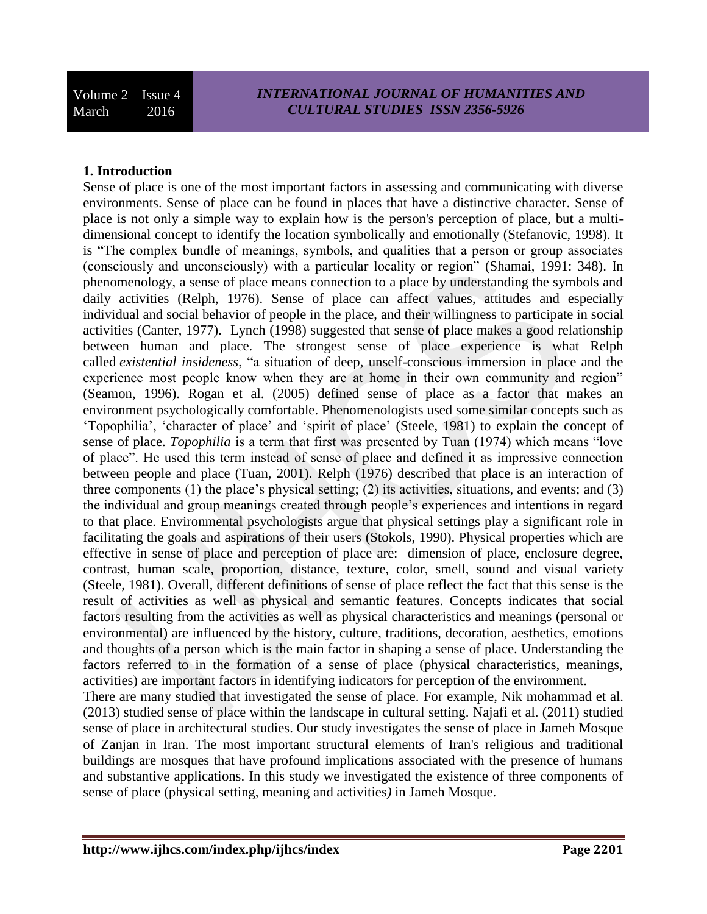## **1. Introduction**

Sense of place is one of the most important factors in assessing and communicating with diverse environments. Sense of place can be found in places that have a distinctive character. Sense of place is not only a simple way to explain how is the person's perception of place, but a multidimensional concept to identify the location symbolically and emotionally (Stefanovic, 1998). It is "The complex bundle of meanings, symbols, and qualities that a person or group associates (consciously and unconsciously) with a particular locality or region" (Shamai, 1991: 348). In phenomenology, a sense of place means connection to a place by understanding the symbols and daily activities (Relph, 1976). Sense of place can affect values, attitudes and especially individual and social behavior of people in the place, and their willingness to participate in social activities (Canter, 1977). Lynch (1998) suggested that sense of place makes a good relationship between human and place. The strongest sense of place experience is what Relph called *existential insideness*, "a situation of deep, unself-conscious immersion in place and the experience most people know when they are at home in their own community and region" (Seamon, 1996). Rogan et al. (2005) defined sense of place as a factor that makes an environment psychologically comfortable. Phenomenologists used some similar concepts such as 'Topophilia', 'character of place' and 'spirit of place' (Steele, 1981) to explain the concept of sense of place. *Topophilia* is a term that first was presented by Tuan (1974) which means "love of place". He used this term instead of sense of place and defined it as impressive connection between people and place (Tuan, 2001). Relph (1976) described that place is an interaction of three components (1) the place's physical setting; (2) its activities, situations, and events; and (3) the individual and group meanings created through people's experiences and intentions in regard to that place. Environmental psychologists argue that physical settings play a significant role in facilitating the goals and aspirations of their users (Stokols, 1990). Physical properties which are effective in sense of place and perception of place are: dimension of place, enclosure degree, contrast, human scale, proportion, distance, texture, color, smell, sound and visual variety (Steele, 1981). Overall, different definitions of sense of place reflect the fact that this sense is the result of activities as well as physical and semantic features. Concepts indicates that social factors resulting from the activities as well as physical characteristics and meanings (personal or environmental) are influenced by the history, culture, traditions, decoration, aesthetics, emotions and thoughts of a person which is the main factor in shaping a sense of place. Understanding the factors referred to in the formation of a sense of place (physical characteristics, meanings, activities) are important factors in identifying indicators for perception of the environment.

There are many studied that investigated the sense of place. For example, Nik mohammad et al. (2013) studied sense of place within the landscape in cultural setting. Najafi et al. (2011) studied sense of place in architectural studies. Our study investigates the sense of place in Jameh Mosque of Zanjan in Iran. The most important structural elements of Iran's religious and traditional buildings are mosques that have profound implications associated with the presence of humans and substantive applications. In this study we investigated the existence of three components of sense of place (physical setting, meaning and activities*)* in Jameh Mosque.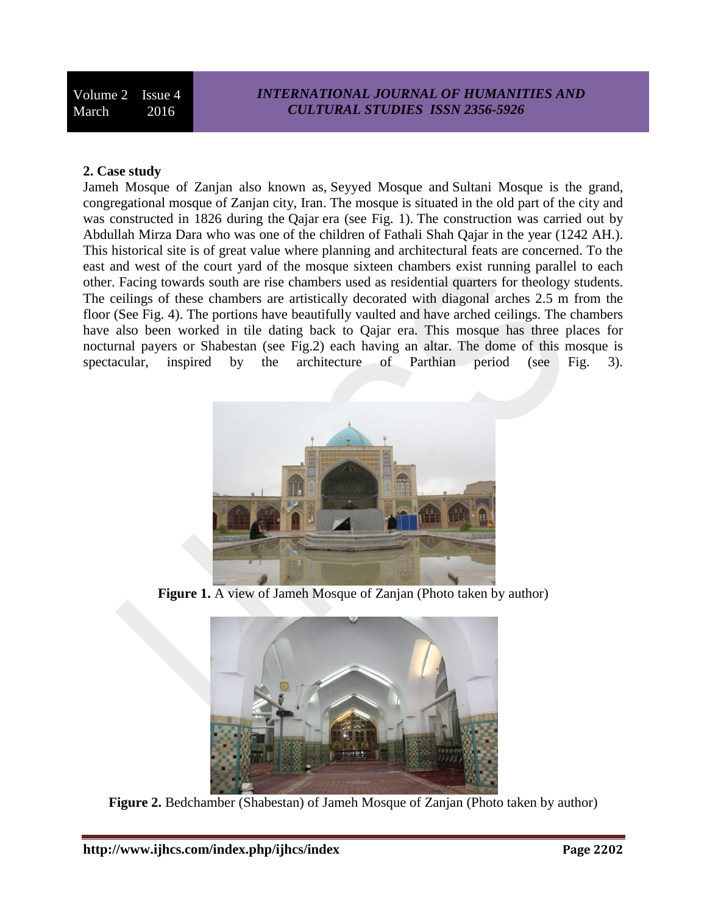#### **2. Case study**

Jameh Mosque of Zanjan also known as, Seyyed Mosque and Sultani Mosque is the grand, congregational mosque of Zanjan city, Iran. The mosque is situated in the old part of the city and was constructed in 1826 during the Qajar era (see Fig. 1). The construction was carried out by Abdullah Mirza Dara who was one of the children of Fathali Shah Qajar in the year (1242 AH.). This historical site is of great value where planning and architectural feats are concerned. To the east and west of the court yard of the mosque sixteen chambers exist running parallel to each other. Facing towards south are rise chambers used as residential quarters for theology students. The ceilings of these chambers are artistically decorated with diagonal arches 2.5 m from the floor (See Fig. 4). The portions have beautifully vaulted and have arched ceilings. The chambers have also been worked in tile dating back to Qajar era. This mosque has three places for nocturnal payers or Shabestan (see Fig.2) each having an altar. The dome of this mosque is spectacular, inspired by the architecture of Parthian period (see Fig. 3).



**Figure 1.** A view of Jameh Mosque of Zanjan (Photo taken by author)



**Figure 2.** Bedchamber (Shabestan) of Jameh Mosque of Zanjan (Photo taken by author)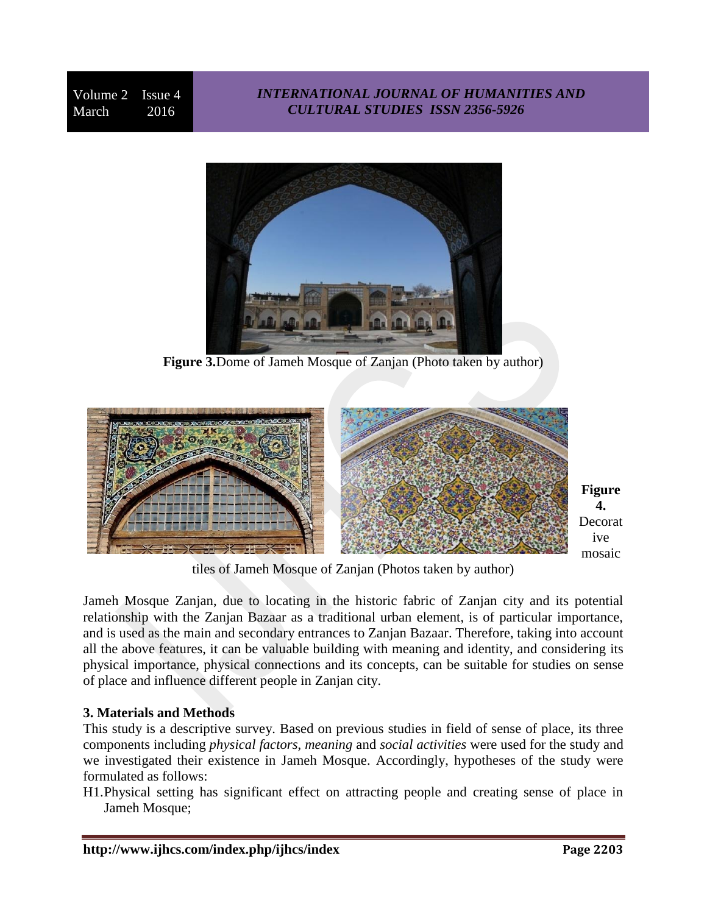## *INTERNATIONAL JOURNAL OF HUMANITIES AND CULTURAL STUDIES ISSN 2356-5926*



**Figure 3.**Dome of Jameh Mosque of Zanjan (Photo taken by author)



**Figure 4.** Decorat ive mosaic

tiles of Jameh Mosque of Zanjan (Photos taken by author)

Jameh Mosque Zanjan, due to locating in the historic fabric of Zanjan city and its potential relationship with the Zanjan Bazaar as a traditional urban element, is of particular importance, and is used as the main and secondary entrances to Zanjan Bazaar. Therefore, taking into account all the above features, it can be valuable building with meaning and identity, and considering its physical importance, physical connections and its concepts, can be suitable for studies on sense of place and influence different people in Zanjan city.

## **3. Materials and Methods**

This study is a descriptive survey. Based on previous studies in field of sense of place, its three components including *physical factors*, *meaning* and *social activities* were used for the study and we investigated their existence in Jameh Mosque. Accordingly, hypotheses of the study were formulated as follows:

H1.Physical setting has significant effect on attracting people and creating sense of place in Jameh Mosque;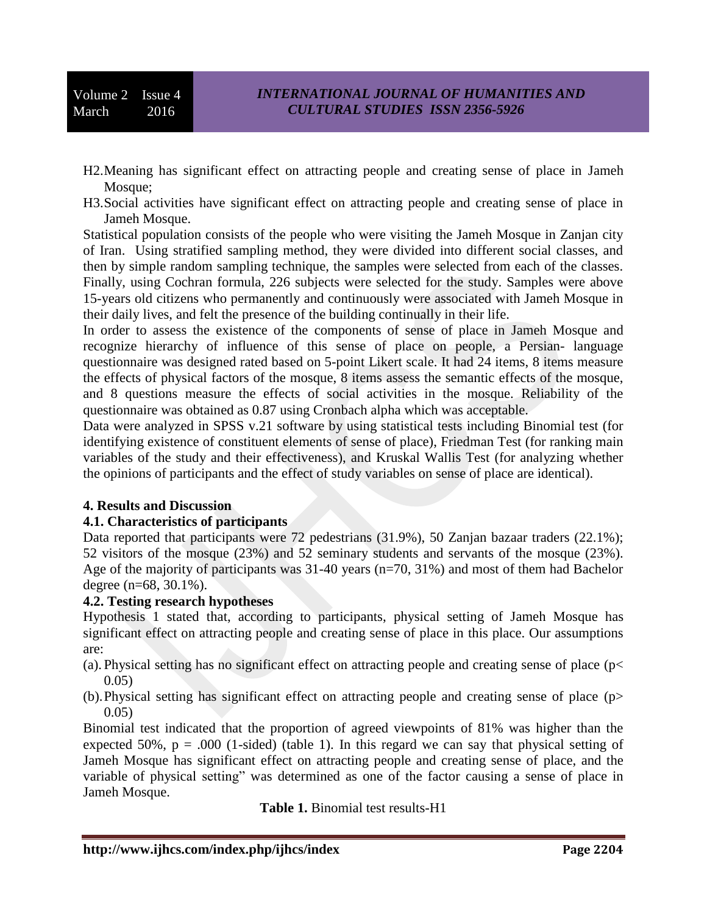Volume 2 Issue 4 March 2016

- H2.Meaning has significant effect on attracting people and creating sense of place in Jameh Mosque;
- H3.Social activities have significant effect on attracting people and creating sense of place in Jameh Mosque.

Statistical population consists of the people who were visiting the Jameh Mosque in Zanjan city of Iran. Using stratified sampling method, they were divided into different social classes, and then by simple random sampling technique, the samples were selected from each of the classes. Finally, using Cochran formula, 226 subjects were selected for the study. Samples were above 15-years old citizens who permanently and continuously were associated with Jameh Mosque in their daily lives, and felt the presence of the building continually in their life.

In order to assess the existence of the components of sense of place in Jameh Mosque and recognize hierarchy of influence of this sense of place on people, a Persian- language questionnaire was designed rated based on 5-point Likert scale. It had 24 items, 8 items measure the effects of physical factors of the mosque, 8 items assess the semantic effects of the mosque, and 8 questions measure the effects of social activities in the mosque. Reliability of the questionnaire was obtained as 0.87 using Cronbach alpha which was acceptable.

Data were analyzed in SPSS v.21 software by using statistical tests including Binomial test (for identifying existence of constituent elements of sense of place), Friedman Test (for ranking main variables of the study and their effectiveness), and Kruskal Wallis Test (for analyzing whether the opinions of participants and the effect of study variables on sense of place are identical).

### **4. Results and Discussion**

### **4.1. Characteristics of participants**

Data reported that participants were 72 pedestrians (31.9%), 50 Zanjan bazaar traders (22.1%); 52 visitors of the mosque (23%) and 52 seminary students and servants of the mosque (23%). Age of the majority of participants was 31-40 years (n=70, 31%) and most of them had Bachelor degree (n=68, 30.1%).

### **4.2. Testing research hypotheses**

Hypothesis 1 stated that, according to participants, physical setting of Jameh Mosque has significant effect on attracting people and creating sense of place in this place. Our assumptions are:

- (a). Physical setting has no significant effect on attracting people and creating sense of place (p< 0.05)
- (b).Physical setting has significant effect on attracting people and creating sense of place (p> 0.05)

Binomial test indicated that the proportion of agreed viewpoints of 81% was higher than the expected 50%,  $p = .000$  (1-sided) (table 1). In this regard we can say that physical setting of Jameh Mosque has significant effect on attracting people and creating sense of place, and the variable of physical setting" was determined as one of the factor causing a sense of place in Jameh Mosque.

**Table 1.** Binomial test results-H1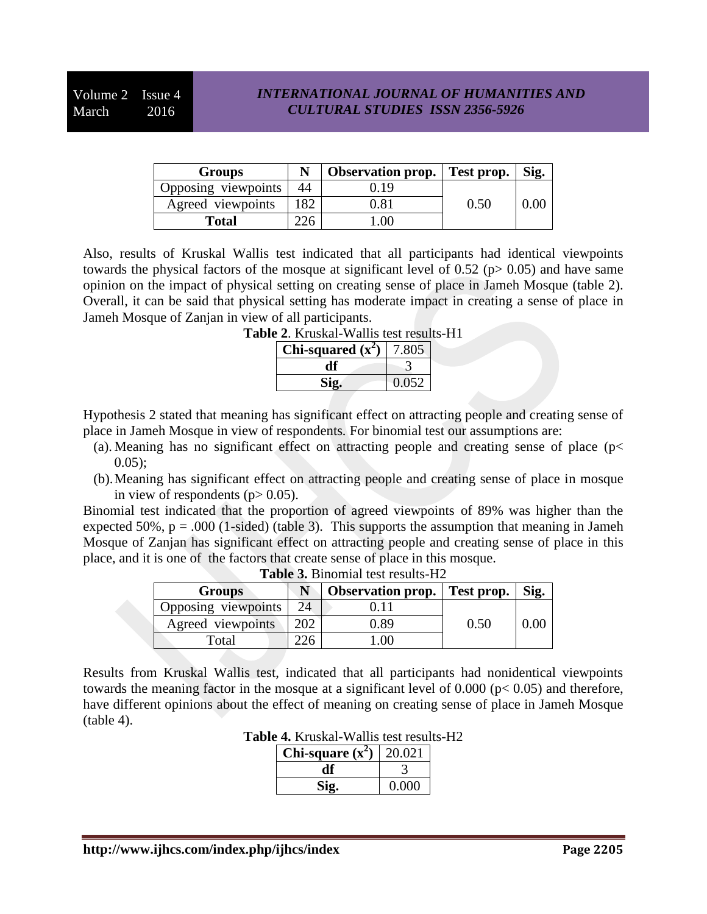### *INTERNATIONAL JOURNAL OF HUMANITIES AND CULTURAL STUDIES ISSN 2356-5926*

| Groups              |     | <b>Observation prop.</b> Test prop. |      | Sig. |
|---------------------|-----|-------------------------------------|------|------|
| Opposing viewpoints | 44  | 19                                  |      |      |
| Agreed viewpoints   | 182 | 1.81                                | 0.50 |      |
| Total               |     | ∩∩                                  |      |      |

Also, results of Kruskal Wallis test indicated that all participants had identical viewpoints towards the physical factors of the mosque at significant level of 0.52 ( $p$  > 0.05) and have same opinion on the impact of physical setting on creating sense of place in Jameh Mosque (table 2). Overall, it can be said that physical setting has moderate impact in creating a sense of place in Jameh Mosque of Zanjan in view of all participants.

| Chi-squared $(x^2)$ | $^{\prime}$ .805 |
|---------------------|------------------|
|                     |                  |
|                     | 0.052            |

**Table 2**. Kruskal-Wallis test results-H1

Hypothesis 2 stated that meaning has significant effect on attracting people and creating sense of place in Jameh Mosque in view of respondents*.* For binomial test our assumptions are:

- (a). Meaning has no significant effect on attracting people and creating sense of place ( $p$  <  $0.05$ :
- (b).Meaning has significant effect on attracting people and creating sense of place in mosque in view of respondents ( $p$  > 0.05).

Binomial test indicated that the proportion of agreed viewpoints of 89% was higher than the expected 50%,  $p = .000$  (1-sided) (table 3). This supports the assumption that meaning in Jameh Mosque of Zanjan has significant effect on attracting people and creating sense of place in this place, and it is one of the factors that create sense of place in this mosque.

| <b>Groups</b>       |    | <b>Observation prop.</b> | Test prop. | Sig. |
|---------------------|----|--------------------------|------------|------|
| Opposing viewpoints | 24 |                          |            |      |
| Agreed viewpoints   |    | 0.89                     | 0.50       |      |
| Total               |    | ЭC                       |            |      |

Results from Kruskal Wallis test, indicated that all participants had nonidentical viewpoints towards the meaning factor in the mosque at a significant level of 0.000 (p< 0.05) and therefore, have different opinions about the effect of meaning on creating sense of place in Jameh Mosque  $(table 4)$ .

**Table 4.** Kruskal-Wallis test results-H2

| Chi-square $(x^2)$ | 20.021 |
|--------------------|--------|
|                    |        |
|                    | 0.000  |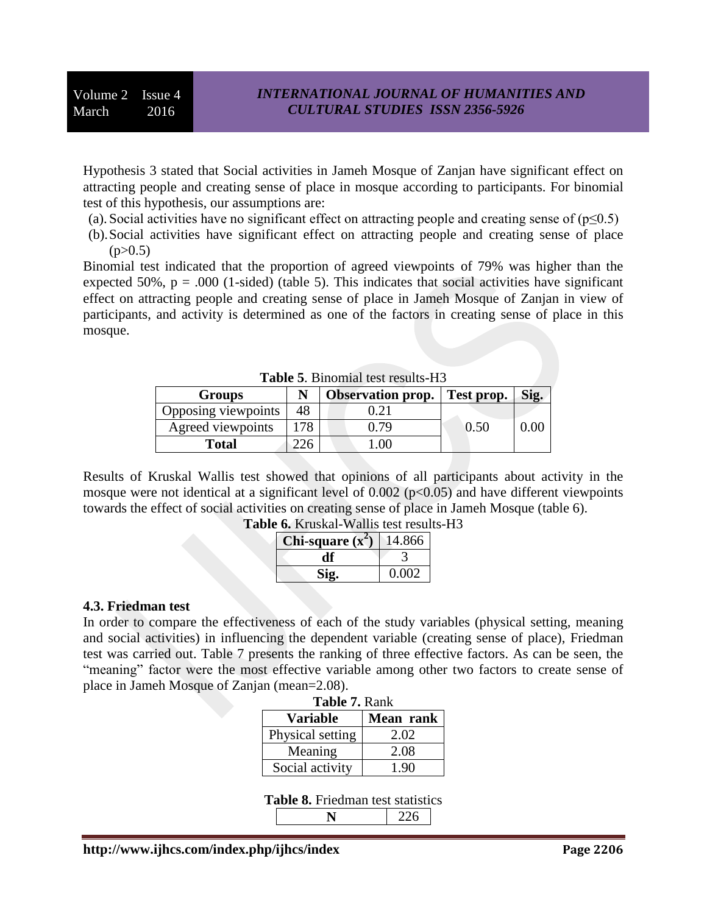Hypothesis 3 stated that Social activities in Jameh Mosque of Zanjan have significant effect on attracting people and creating sense of place in mosque according to participants. For binomial test of this hypothesis, our assumptions are:

- (a). Social activities have no significant effect on attracting people and creating sense of  $(p\leq 0.5)$
- (b).Social activities have significant effect on attracting people and creating sense of place  $(p>0.5)$

Binomial test indicated that the proportion of agreed viewpoints of 79% was higher than the expected 50%,  $p = .000$  (1-sided) (table 5). This indicates that social activities have significant effect on attracting people and creating sense of place in Jameh Mosque of Zanjan in view of participants, and activity is determined as one of the factors in creating sense of place in this mosque.

| <b>Table 9. D</b> illoniidi test results-119 |     |                                     |      |      |
|----------------------------------------------|-----|-------------------------------------|------|------|
| <b>Groups</b>                                |     | <b>Observation prop.</b> Test prop. |      | Sig. |
| Opposing viewpoints                          | 48  |                                     |      |      |
| Agreed viewpoints                            | 178 | 179                                 | 0.50 | 0.OC |
| <b>Total</b>                                 |     | .00                                 |      |      |

Table 5. Binomial test results-H<sub>3</sub>

Results of Kruskal Wallis test showed that opinions of all participants about activity in the mosque were not identical at a significant level of  $0.002$  ( $p<0.05$ ) and have different viewpoints towards the effect of social activities on creating sense of place in Jameh Mosque (table 6). **Table 6.** Kruskal-Wallis test results-H3

| i-square (x́ | 4.866 |
|--------------|-------|
|              |       |
|              | 0.002 |

#### **4.3. Friedman test**

In order to compare the effectiveness of each of the study variables (physical setting, meaning and social activities) in influencing the dependent variable (creating sense of place), Friedman test was carried out. Table 7 presents the ranking of three effective factors. As can be seen, the "meaning" factor were the most effective variable among other two factors to create sense of place in Jameh Mosque of Zanjan (mean=2.08).

| <b>Table 7. Rank</b> |           |  |  |  |
|----------------------|-----------|--|--|--|
| <b>Variable</b>      | Mean rank |  |  |  |
| Physical setting     | 2.02      |  |  |  |
| Meaning              | 2.08      |  |  |  |
| Social activity      | 1.90      |  |  |  |

|  |  | Table 8. Friedman test statistics |  |  |
|--|--|-----------------------------------|--|--|
|--|--|-----------------------------------|--|--|

**N** 226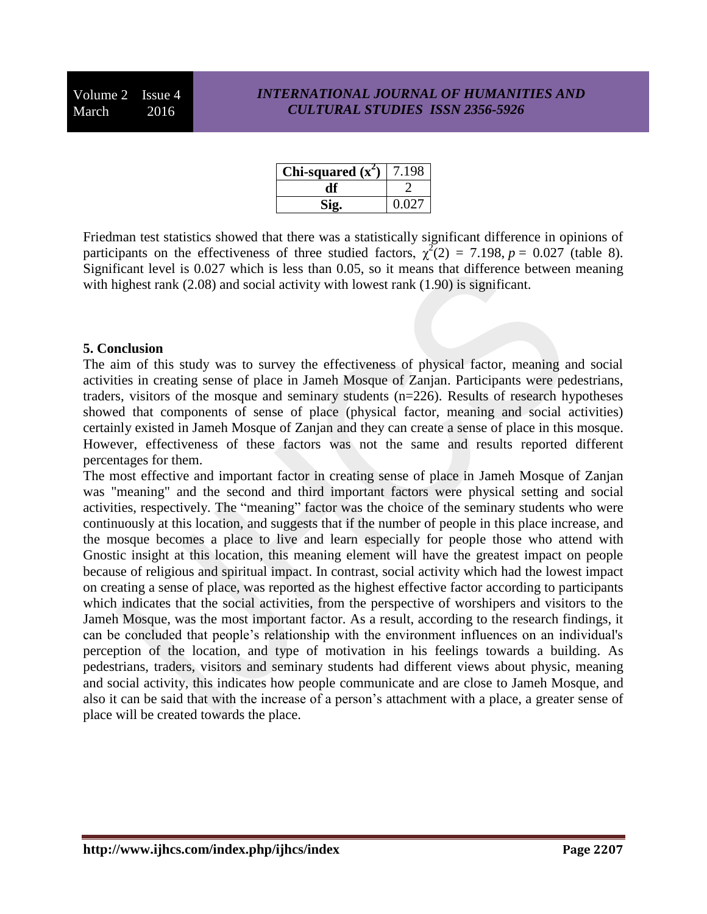Volume 2 Issue 4 March 2016

#### *INTERNATIONAL JOURNAL OF HUMANITIES AND CULTURAL STUDIES ISSN 2356-5926*

| Chi-squared $(x^2)$ | 7.198 |
|---------------------|-------|
|                     |       |
|                     | 0.027 |

Friedman test statistics showed that there was a statistically significant difference in opinions of participants on the effectiveness of three studied factors,  $\chi^2(2) = 7.198$ ,  $p = 0.027$  (table 8). Significant level is 0.027 which is less than 0.05, so it means that difference between meaning with highest rank (2.08) and social activity with lowest rank (1.90) is significant.

#### **5. Conclusion**

The aim of this study was to survey the effectiveness of physical factor, meaning and social activities in creating sense of place in Jameh Mosque of Zanjan. Participants were pedestrians, traders, visitors of the mosque and seminary students (n=226). Results of research hypotheses showed that components of sense of place (physical factor, meaning and social activities) certainly existed in Jameh Mosque of Zanjan and they can create a sense of place in this mosque. However, effectiveness of these factors was not the same and results reported different percentages for them.

The most effective and important factor in creating sense of place in Jameh Mosque of Zanjan was "meaning" and the second and third important factors were physical setting and social activities, respectively. The "meaning" factor was the choice of the seminary students who were continuously at this location, and suggests that if the number of people in this place increase, and the mosque becomes a place to live and learn especially for people those who attend with Gnostic insight at this location, this meaning element will have the greatest impact on people because of religious and spiritual impact. In contrast, social activity which had the lowest impact on creating a sense of place, was reported as the highest effective factor according to participants which indicates that the social activities, from the perspective of worshipers and visitors to the Jameh Mosque, was the most important factor. As a result, according to the research findings, it can be concluded that people's relationship with the environment influences on an individual's perception of the location, and type of motivation in his feelings towards a building. As pedestrians, traders, visitors and seminary students had different views about physic, meaning and social activity, this indicates how people communicate and are close to Jameh Mosque, and also it can be said that with the increase of a person's attachment with a place, a greater sense of place will be created towards the place.